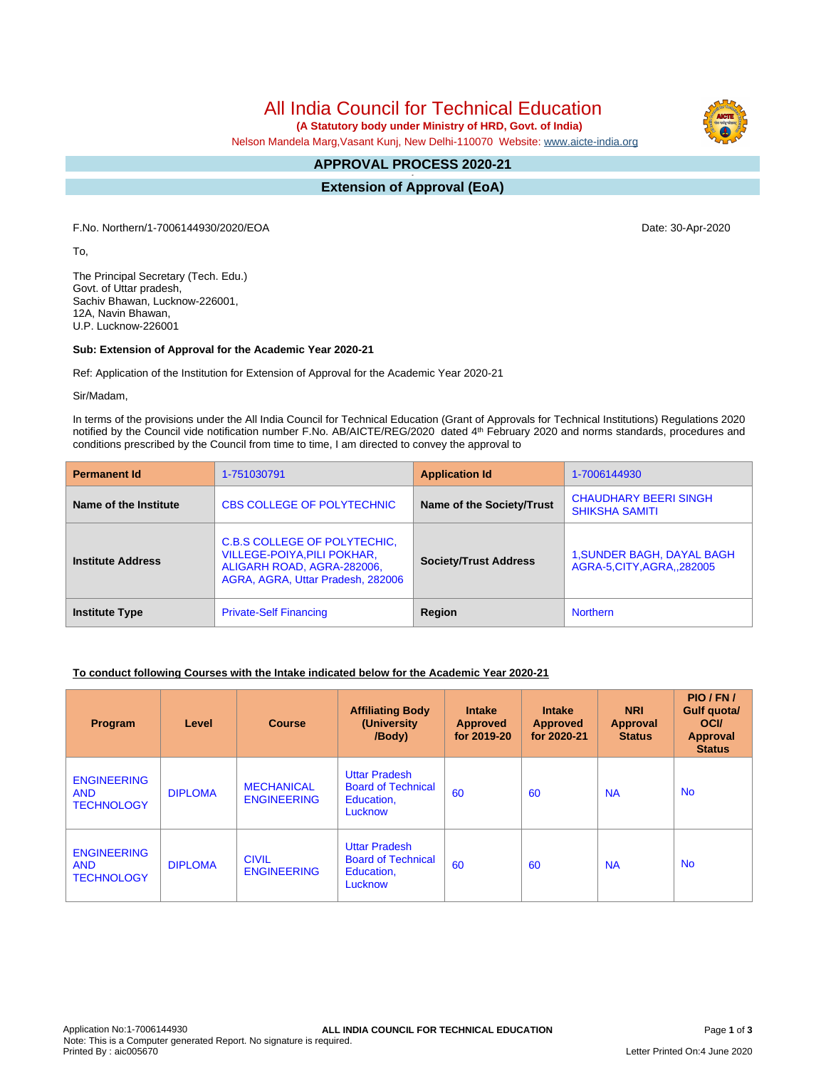# All India Council for Technical Education

 **(A Statutory body under Ministry of HRD, Govt. of India)**

Nelson Mandela Marg,Vasant Kunj, New Delhi-110070 Website: [www.aicte-india.org](http://www.aicte-india.org)

#### **APPROVAL PROCESS 2020-21 -**

**Extension of Approval (EoA)**

F.No. Northern/1-7006144930/2020/EOA Date: 30-Apr-2020

To,

The Principal Secretary (Tech. Edu.) Govt. of Uttar pradesh, Sachiv Bhawan, Lucknow-226001, 12A, Navin Bhawan, U.P. Lucknow-226001

### **Sub: Extension of Approval for the Academic Year 2020-21**

Ref: Application of the Institution for Extension of Approval for the Academic Year 2020-21

Sir/Madam,

In terms of the provisions under the All India Council for Technical Education (Grant of Approvals for Technical Institutions) Regulations 2020 notified by the Council vide notification number F.No. AB/AICTE/REG/2020 dated 4<sup>th</sup> February 2020 and norms standards, procedures and conditions prescribed by the Council from time to time, I am directed to convey the approval to

| <b>Permanent Id</b>      | 1-751030791                                                                                                                    | <b>Application Id</b>        | 1-7006144930                                                    |  |  |
|--------------------------|--------------------------------------------------------------------------------------------------------------------------------|------------------------------|-----------------------------------------------------------------|--|--|
| Name of the Institute    | <b>CBS COLLEGE OF POLYTECHNIC</b>                                                                                              | Name of the Society/Trust    | <b>CHAUDHARY BEERI SINGH</b><br><b>SHIKSHA SAMITI</b>           |  |  |
| <b>Institute Address</b> | C.B.S COLLEGE OF POLYTECHIC.<br>VILLEGE-POIYA, PILI POKHAR,<br>ALIGARH ROAD, AGRA-282006,<br>AGRA, AGRA, Uttar Pradesh, 282006 | <b>Society/Trust Address</b> | <b>1, SUNDER BAGH, DAYAL BAGH</b><br>AGRA-5, CITY, AGRA, 282005 |  |  |
| <b>Institute Type</b>    | <b>Private-Self Financing</b>                                                                                                  | Region                       | <b>Northern</b>                                                 |  |  |

### **To conduct following Courses with the Intake indicated below for the Academic Year 2020-21**

| Program                                               | Level          | <b>Course</b>                           | <b>Affiliating Body</b><br>(University<br>/Body)                           | <b>Intake</b><br><b>Approved</b><br>for 2019-20 | <b>Intake</b><br><b>Approved</b><br>for 2020-21 | <b>NRI</b><br>Approval<br><b>Status</b> | PIO/FN/<br>Gulf quota/<br><b>OCI</b><br>Approval<br><b>Status</b> |
|-------------------------------------------------------|----------------|-----------------------------------------|----------------------------------------------------------------------------|-------------------------------------------------|-------------------------------------------------|-----------------------------------------|-------------------------------------------------------------------|
| <b>ENGINEERING</b><br><b>AND</b><br><b>TECHNOLOGY</b> | <b>DIPLOMA</b> | <b>MECHANICAL</b><br><b>ENGINEERING</b> | <b>Uttar Pradesh</b><br><b>Board of Technical</b><br>Education,<br>Lucknow | 60                                              | 60                                              | <b>NA</b>                               | <b>No</b>                                                         |
| <b>ENGINEERING</b><br><b>AND</b><br><b>TECHNOLOGY</b> | <b>DIPLOMA</b> | <b>CIVIL</b><br><b>ENGINEERING</b>      | <b>Uttar Pradesh</b><br><b>Board of Technical</b><br>Education,<br>Lucknow | 60                                              | 60                                              | <b>NA</b>                               | <b>No</b>                                                         |

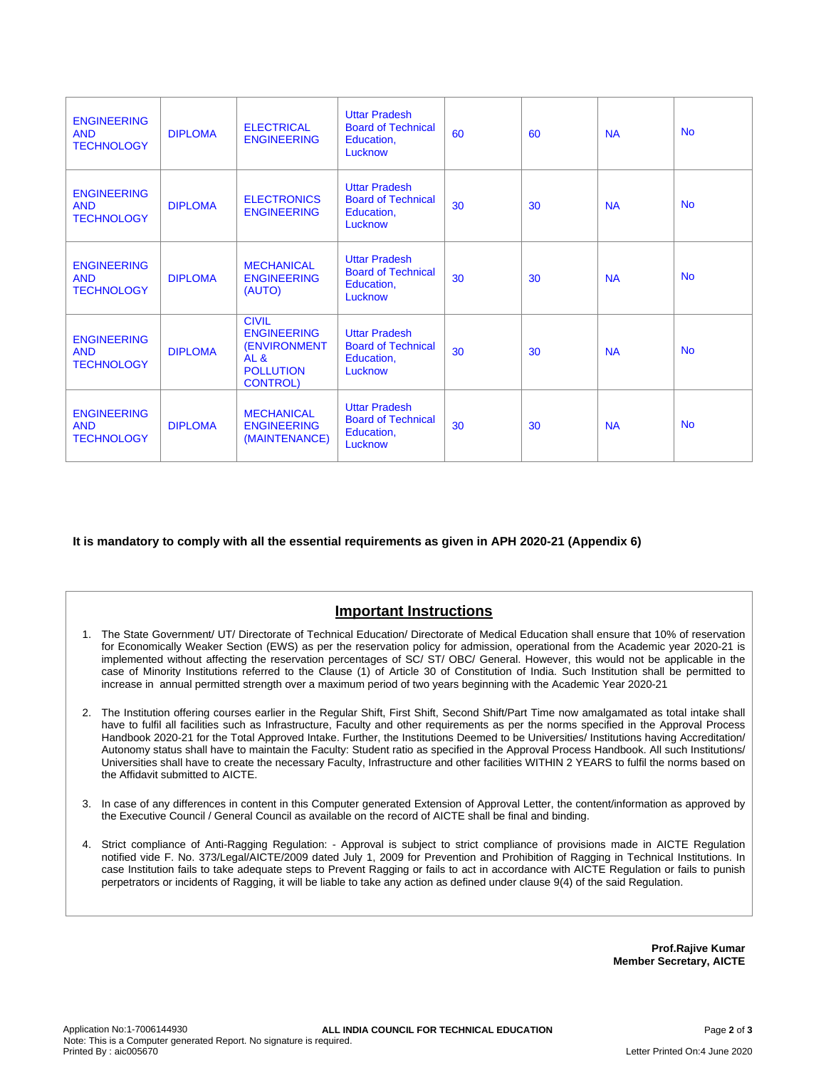| <b>ENGINEERING</b><br><b>AND</b><br><b>TECHNOLOGY</b> | <b>DIPLOMA</b> | <b>ELECTRICAL</b><br><b>ENGINEERING</b>                                                                              | <b>Uttar Pradesh</b><br><b>Board of Technical</b><br>Education,<br>Lucknow | 60 | 60 | <b>NA</b> | <b>No</b> |
|-------------------------------------------------------|----------------|----------------------------------------------------------------------------------------------------------------------|----------------------------------------------------------------------------|----|----|-----------|-----------|
| <b>ENGINEERING</b><br><b>AND</b><br><b>TECHNOLOGY</b> | <b>DIPLOMA</b> | <b>ELECTRONICS</b><br><b>ENGINEERING</b>                                                                             | <b>Uttar Pradesh</b><br><b>Board of Technical</b><br>Education,<br>Lucknow | 30 | 30 | <b>NA</b> | <b>No</b> |
| <b>ENGINEERING</b><br><b>AND</b><br><b>TECHNOLOGY</b> | <b>DIPLOMA</b> | <b>MECHANICAL</b><br><b>ENGINEERING</b><br>(AUTO)                                                                    | <b>Uttar Pradesh</b><br><b>Board of Technical</b><br>Education,<br>Lucknow | 30 | 30 | <b>NA</b> | <b>No</b> |
| <b>ENGINEERING</b><br><b>AND</b><br><b>TECHNOLOGY</b> | <b>DIPLOMA</b> | <b>CIVIL</b><br><b>ENGINEERING</b><br><b>(ENVIRONMENT</b><br>AL <sub>8</sub><br><b>POLLUTION</b><br><b>CONTROL</b> ) | <b>Uttar Pradesh</b><br><b>Board of Technical</b><br>Education,<br>Lucknow | 30 | 30 | <b>NA</b> | <b>No</b> |
| <b>ENGINEERING</b><br><b>AND</b><br><b>TECHNOLOGY</b> | <b>DIPLOMA</b> | <b>MECHANICAL</b><br><b>ENGINEERING</b><br>(MAINTENANCE)                                                             | <b>Uttar Pradesh</b><br><b>Board of Technical</b><br>Education,<br>Lucknow | 30 | 30 | <b>NA</b> | <b>No</b> |

**It is mandatory to comply with all the essential requirements as given in APH 2020-21 (Appendix 6)**

## **Important Instructions**

- 1. The State Government/ UT/ Directorate of Technical Education/ Directorate of Medical Education shall ensure that 10% of reservation for Economically Weaker Section (EWS) as per the reservation policy for admission, operational from the Academic year 2020-21 is implemented without affecting the reservation percentages of SC/ ST/ OBC/ General. However, this would not be applicable in the case of Minority Institutions referred to the Clause (1) of Article 30 of Constitution of India. Such Institution shall be permitted to increase in annual permitted strength over a maximum period of two years beginning with the Academic Year 2020-21
- 2. The Institution offering courses earlier in the Regular Shift, First Shift, Second Shift/Part Time now amalgamated as total intake shall have to fulfil all facilities such as Infrastructure, Faculty and other requirements as per the norms specified in the Approval Process Handbook 2020-21 for the Total Approved Intake. Further, the Institutions Deemed to be Universities/ Institutions having Accreditation/ Autonomy status shall have to maintain the Faculty: Student ratio as specified in the Approval Process Handbook. All such Institutions/ Universities shall have to create the necessary Faculty, Infrastructure and other facilities WITHIN 2 YEARS to fulfil the norms based on the Affidavit submitted to AICTE.
- 3. In case of any differences in content in this Computer generated Extension of Approval Letter, the content/information as approved by the Executive Council / General Council as available on the record of AICTE shall be final and binding.
- 4. Strict compliance of Anti-Ragging Regulation: Approval is subject to strict compliance of provisions made in AICTE Regulation notified vide F. No. 373/Legal/AICTE/2009 dated July 1, 2009 for Prevention and Prohibition of Ragging in Technical Institutions. In case Institution fails to take adequate steps to Prevent Ragging or fails to act in accordance with AICTE Regulation or fails to punish perpetrators or incidents of Ragging, it will be liable to take any action as defined under clause 9(4) of the said Regulation.

**Prof.Rajive Kumar Member Secretary, AICTE**